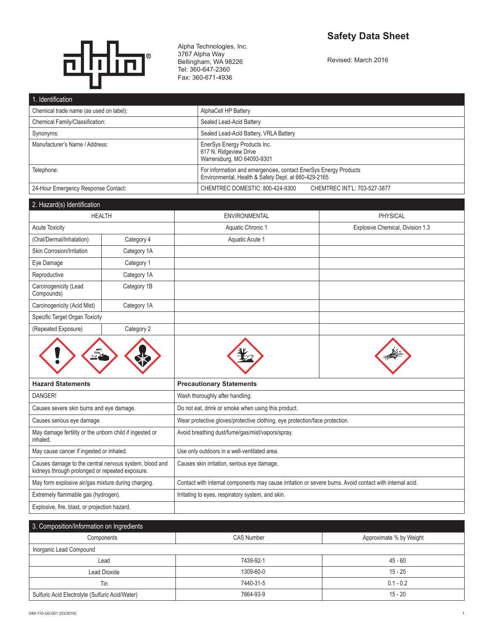# **Safety Data Sheet**



Alpha Technologies, Inc. 3767 Alpha Way Bellingham, WA 98226 Tel: 360-647-2360 Fax: 360-671-4936

Revised: March 2016

| 1. Identification                       |                                                                                                                          |  |
|-----------------------------------------|--------------------------------------------------------------------------------------------------------------------------|--|
| Chemical trade name (as used on label): | AlphaCell HP Battery                                                                                                     |  |
| Chemical Family/Classification:         | Sealed Lead-Acid Battery                                                                                                 |  |
| Synonyms:                               | Sealed Lead-Acid Battery, VRLA Battery                                                                                   |  |
| Manufacturer's Name / Address:          | EnerSys Energy Products Inc.<br>617 N. Ridgeview Drive<br>Warrensburg, MO 64093-9301                                     |  |
| Telephone:                              | For information and emergencies, contact EnerSys Energy Products<br>Environmental, Health & Safety Dept. at 660-429-2165 |  |
| 24-Hour Emergency Response Contact:     | CHEMTREC DOMESTIC: 800-424-9300<br>CHEMTREC INT'L: 703-527-3877                                                          |  |

| 2. Hazard(s) Identification         |               |                      |                                  |
|-------------------------------------|---------------|----------------------|----------------------------------|
|                                     | <b>HEALTH</b> | <b>ENVIRONMENTAL</b> | <b>PHYSICAL</b>                  |
| <b>Acute Toxicity</b>               |               | Aquatic Chronic 1    | Explosive Chemical, Division 1.3 |
| (Oral/Dermal/Inhalation)            | Category 4    | Aquatic Acute 1      |                                  |
| Skin Corrosion/Irritation           | Category 1A   |                      |                                  |
| Eye Damage                          | Category 1    |                      |                                  |
| Reproductive                        | Category 1A   |                      |                                  |
| Carcinogenicity (Lead<br>Compounds) | Category 1B   |                      |                                  |
| Carcinogenicity (Acid Mist)         | Category 1A   |                      |                                  |
| Specific Target Organ Toxicity      |               |                      |                                  |
| (Repeated Exposure)                 | Category 2    |                      |                                  |







|                                                                                                           | ~                                                                                                        | $\tilde{\phantom{a}}$                                                       |  |  |
|-----------------------------------------------------------------------------------------------------------|----------------------------------------------------------------------------------------------------------|-----------------------------------------------------------------------------|--|--|
| <b>Hazard Statements</b>                                                                                  | <b>Precautionary Statements</b>                                                                          |                                                                             |  |  |
| DANGER!                                                                                                   | Wash thoroughly after handling.                                                                          |                                                                             |  |  |
| Causes severe skin burns and eye damage.                                                                  | Do not eat, drink or smoke when using this product.                                                      |                                                                             |  |  |
| Causes serious eye damage.                                                                                |                                                                                                          | Wear protective gloves/protective clothing, eye protection/face protection. |  |  |
| May damage fertility or the unborn child if ingested or<br>inhaled.                                       | Avoid breathing dust/fume/gas/mist/vapors/spray.                                                         |                                                                             |  |  |
| May cause cancer if ingested or inhaled.                                                                  | Use only outdoors in a well-ventilated area.                                                             |                                                                             |  |  |
| Causes damage to the central nervous system, blood and<br>kidneys through prolonged or repeated exposure. | Causes skin irritation, serious eye damage.                                                              |                                                                             |  |  |
| May form explosive air/gas mixture during charging.                                                       | Contact with internal components may cause irritation or severe burns. Avoid contact with internal acid. |                                                                             |  |  |
| Extremely flammable gas (hydrogen).                                                                       | Irritating to eyes, respiratory system, and skin.                                                        |                                                                             |  |  |
| Explosive, fire, blast, or projection hazard.                                                             |                                                                                                          |                                                                             |  |  |

| 3. Composition/Information on Ingredients       |                   |                         |
|-------------------------------------------------|-------------------|-------------------------|
| Components                                      | <b>CAS Number</b> | Approximate % by Weight |
| Inorganic Lead Compound                         |                   |                         |
| Lead                                            | 7439-92-1         | $45 - 60$               |
| Lead Dioxide                                    | 1309-60-0         | $15 - 25$               |
| Tin                                             | 7440-31-5         | $0.1 - 0.2$             |
| Sulfuric Acid Electrolyte (Sulfuric Acid/Water) | 7664-93-9         | $15 - 20$               |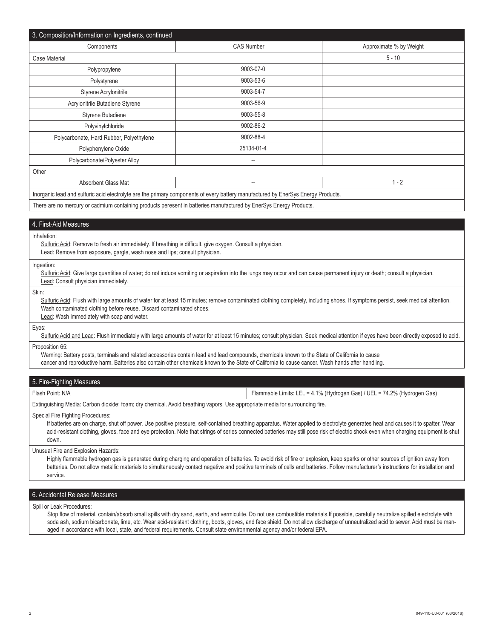| 3. Composition/Information on Ingredients, continued                                                                              |                          |                         |
|-----------------------------------------------------------------------------------------------------------------------------------|--------------------------|-------------------------|
| Components                                                                                                                        | <b>CAS Number</b>        | Approximate % by Weight |
| <b>Case Material</b>                                                                                                              |                          | $5 - 10$                |
| Polypropylene                                                                                                                     | 9003-07-0                |                         |
| Polystyrene                                                                                                                       | 9003-53-6                |                         |
| Styrene Acrylonitrile                                                                                                             | 9003-54-7                |                         |
| Acrylonitrile Butadiene Styrene                                                                                                   | 9003-56-9                |                         |
| Styrene Butadiene                                                                                                                 | 9003-55-8                |                         |
| Polyvinylchloride                                                                                                                 | 9002-86-2                |                         |
| Polycarbonate, Hard Rubber, Polyethylene                                                                                          | 9002-88-4                |                         |
| Polyphenylene Oxide                                                                                                               | 25134-01-4               |                         |
| Polycarbonate/Polyester Alloy                                                                                                     | --                       |                         |
| Other                                                                                                                             |                          |                         |
| Absorbent Glass Mat                                                                                                               | $\overline{\phantom{a}}$ | $1 - 2$                 |
| Inorganic lead and sulfuric acid electrolyte are the primary components of every battery manufactured by EnerSys Energy Products. |                          |                         |
| There are no mercury or cadmium containing products peresent in batteries manufactured by EnerSys Energy Products.                |                          |                         |

# 4. First-Aid Measures

Inhalation:

Sulfuric Acid: Remove to fresh air immediately. If breathing is difficult, give oxygen. Consult a physician. Lead: Remove from exposure, gargle, wash nose and lips; consult physician.

Ingestion:

Sulfuric Acid: Give large quantities of water; do not induce vomiting or aspiration into the lungs may occur and can cause permanent injury or death; consult a physician. Lead: Consult physician immediately.

Skin:

Sulfuric Acid: Flush with large amounts of water for at least 15 minutes; remove contaminated clothing completely, including shoes. If symptoms persist, seek medical attention. Wash contaminated clothing before reuse. Discard contaminated shoes.

Lead: Wash immediately with soap and water.

Eyes:

Sulfuric Acid and Lead: Flush immediately with large amounts of water for at least 15 minutes; consult physician. Seek medical attention if eyes have been directly exposed to acid.

Proposition 65:

Warning: Battery posts, terminals and related accessories contain lead and lead compounds, chemicals known to the State of California to cause cancer and reproductive harm. Batteries also contain other chemicals known to the State of California to cause cancer. Wash hands after handling.

| 5. Fire-Fighting Measures                                                                                                    |                                                                          |  |
|------------------------------------------------------------------------------------------------------------------------------|--------------------------------------------------------------------------|--|
| l Flash Point: N/A                                                                                                           | Flammable Limits: LEL = 4.1% (Hydrogen Gas) / UEL = 74.2% (Hydrogen Gas) |  |
| Extinguishing Media: Carbon dioxide; foam; dry chemical. Avoid breathing vapors. Use appropriate media for surrounding fire. |                                                                          |  |
| ∣ Snecial Fire Fighting Procedures: I                                                                                        |                                                                          |  |

Special Fire Fighting Procedures:

If batteries are on charge, shut off power. Use positive pressure, self-contained breathing apparatus. Water applied to electrolyte generates heat and causes it to spatter. Wear acid-resistant clothing, gloves, face and eye protection. Note that strings of series connected batteries may still pose risk of electric shock even when charging equipment is shut down.

Unusual Fire and Explosion Hazards:

Highly flammable hydrogen gas is generated during charging and operation of batteries. To avoid risk of fire or explosion, keep sparks or other sources of ignition away from batteries. Do not allow metallic materials to simultaneously contact negative and positive terminals of cells and batteries. Follow manufacturer's instructions for installation and service.

## 6. Accidental Release Measures

Spill or Leak Procedures:

Stop flow of material, contain/absorb small spills with dry sand, earth, and vermiculite. Do not use combustible materials.If possible, carefully neutralize spilled electrolyte with soda ash, sodium bicarbonate, lime, etc. Wear acid-resistant clothing, boots, gloves, and face shield. Do not allow discharge of unneutralized acid to sewer. Acid must be managed in accordance with local, state, and federal requirements. Consult state environmental agency and/or federal EPA.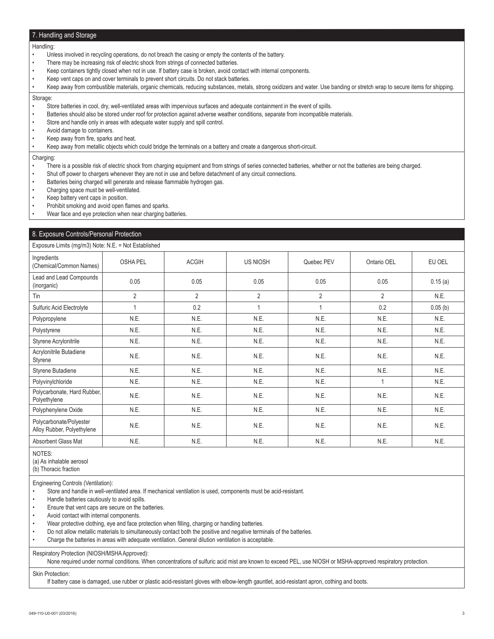# 7. Handling and Storage

## Handling:

- Unless involved in recycling operations, do not breach the casing or empty the contents of the battery.
- There may be increasing risk of electric shock from strings of connected batteries.
- Keep containers tightly closed when not in use. If battery case is broken, avoid contact with internal components.
- Keep vent caps on and cover terminals to prevent short circuits. Do not stack batteries.
- Keep away from combustible materials, organic chemicals, reducing substances, metals, strong oxidizers and water. Use banding or stretch wrap to secure items for shipping.

## Storage:

- Store batteries in cool, dry, well-ventilated areas with impervious surfaces and adequate containment in the event of spills.
- Batteries should also be stored under roof for protection against adverse weather conditions, separate from incompatible materials.
- Store and handle only in areas with adequate water supply and spill control.
- Avoid damage to containers.
- Keep away from fire, sparks and heat.
- Keep away from metallic objects which could bridge the terminals on a battery and create a dangerous short-circuit.

#### Charging:

- There is a possible risk of electric shock from charging equipment and from strings of series connected batteries, whether or not the batteries are being charged.
- Shut off power to chargers whenever they are not in use and before detachment of any circuit connections.
- Batteries being charged will generate and release flammable hydrogen gas.
- Charging space must be well-ventilated.
- Keep battery vent caps in position.

• Prohibit smoking and avoid open flames and sparks.

Wear face and eye protection when near charging batteries.

# 8. Exposure Controls/Personal Protection

## Exposure Limits (mg/m3) Note: N.E. = Not Established

| Ingredients<br>(Chemical/Common Names)                | <b>OSHA PEL</b> | <b>ACGIH</b>   | <b>US NIOSH</b> | Quebec PEV     | Ontario OEL | EU OEL  |
|-------------------------------------------------------|-----------------|----------------|-----------------|----------------|-------------|---------|
| Lead and Lead Compounds<br>(inorganic)                | 0.05            | 0.05           | 0.05            | 0.05           | 0.05        | 0.15(a) |
| Tin                                                   | $\overline{2}$  | $\overline{2}$ | $\overline{2}$  | $\overline{2}$ | 2           | N.E.    |
| Sulfuric Acid Electrolyte                             |                 | 0.2            |                 |                | 0.2         | 0.05(b) |
| Polypropylene                                         | N.E.            | N.E.           | N.E.            | N.E.           | N.E.        | N.E.    |
| Polystyrene                                           | N.E.            | N.E.           | N.E.            | N.E.           | N.E.        | N.E.    |
| Styrene Acrylonitrile                                 | N.E.            | N.E.           | N.E.            | N.E.           | N.E.        | N.E.    |
| Acrylonitrile Butadiene<br>Styrene                    | N.E.            | N.E.           | N.E.            | N.E.           | N.E.        | N.E.    |
| Styrene Butadiene                                     | N.E.            | N.E.           | N.E.            | N.E.           | N.E.        | N.E.    |
| Polyvinylchloride                                     | N.E.            | N.E.           | N.E.            | N.E.           |             | N.E.    |
| Polycarbonate, Hard Rubber,<br>Polyethylene           | N.E.            | N.E.           | N.E.            | N.E.           | N.E.        | N.E.    |
| Polyphenylene Oxide                                   | N.E.            | N.E.           | N.E.            | N.E.           | N.E.        | N.E.    |
| Polycarbonate/Polyester<br>Alloy Rubber, Polyethylene | N.E.            | N.E.           | N.E.            | N.E.           | N.E.        | N.E.    |
| Absorbent Glass Mat                                   | N.E.            | N.E.           | N.E.            | N.E.           | N.E.        | N.E.    |

NOTES:

(a) As inhalable aerosol

(b) Thoracic fraction

Engineering Controls (Ventilation):

• Store and handle in well-ventilated area. If mechanical ventilation is used, components must be acid-resistant.

• Handle batteries cautiously to avoid spills.

Ensure that vent caps are secure on the batteries.

• Avoid contact with internal components.

Wear protective clothing, eye and face protection when filling, charging or handling batteries.

- Do not allow metallic materials to simultaneously contact both the positive and negative terminals of the batteries.
- Charge the batteries in areas with adequate ventilation. General dilution ventilation is acceptable.

Respiratory Protection (NIOSH/MSHA Approved):

None required under normal conditions. When concentrations of sulfuric acid mist are known to exceed PEL, use NIOSH or MSHA-approved respiratory protection.

Skin Protection:

If battery case is damaged, use rubber or plastic acid-resistant gloves with elbow-length gauntlet, acid-resistant apron, cothing and boots.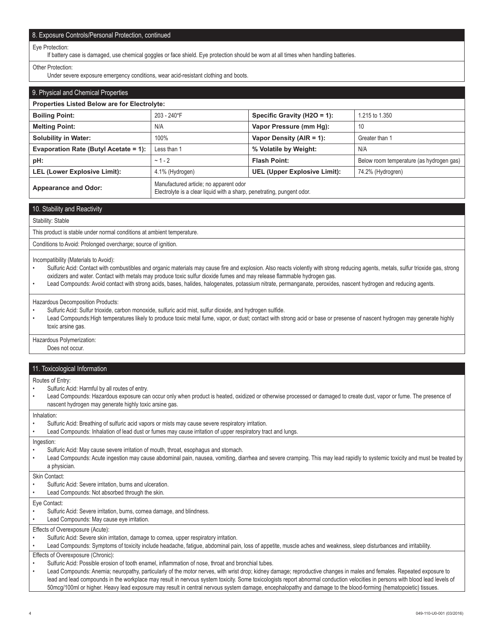# 8. Exposure Controls/Personal Protection, continued

#### Eye Protection:

If battery case is damaged, use chemical goggles or face shield. Eye protection should be worn at all times when handling batteries.

#### Other Protection:

Under severe exposure emergency conditions, wear acid-resistant clothing and boots.

| 9. Physical and Chemical Properties          |                                                                                                                  |                              |                                          |
|----------------------------------------------|------------------------------------------------------------------------------------------------------------------|------------------------------|------------------------------------------|
| Properties Listed Below are for Electrolyte: |                                                                                                                  |                              |                                          |
| <b>Boiling Point:</b>                        | 203 - 240°F                                                                                                      | Specific Gravity (H2O = 1):  | 1.215 to 1.350                           |
| <b>Melting Point:</b>                        | N/A                                                                                                              | Vapor Pressure (mm Hg):      | 10                                       |
| <b>Solubility in Water:</b>                  | 100%                                                                                                             | Vapor Density (AIR = 1):     | Greater than 1                           |
| Evaporation Rate (Butyl Acetate = 1):        | Less than 1                                                                                                      | % Volatile by Weight:        | N/A                                      |
| pH:                                          | $~1 - 2$                                                                                                         | <b>Flash Point:</b>          | Below room temperature (as hydrogen gas) |
| <b>LEL (Lower Explosive Limit):</b>          | 4.1% (Hydrogen)                                                                                                  | UEL (Upper Explosive Limit): | 74.2% (Hydrogren)                        |
| <b>Appearance and Odor:</b>                  | Manufactured article; no apparent odor<br>Electrolyte is a clear liquid with a sharp, penetrating, pungent odor. |                              |                                          |

# 10. Stability and Reactivity

## Stability: Stable

This product is stable under normal conditions at ambient temperature.

Conditions to Avoid: Prolonged overcharge; source of ignition.

Incompatibility (Materials to Avoid):

- Sulfuric Acid: Contact with combustibles and organic materials may cause fire and explosion. Also reacts violently with strong reducing agents, metals, sulfur trioxide gas, strong oxidizers and water. Contact with metals may produce toxic sulfur dioxide fumes and may release flammable hydrogen gas.
- Lead Compounds: Avoid contact with strong acids, bases, halides, halogenates, potassium nitrate, permanganate, peroxides, nascent hydrogen and reducing agents.

Hazardous Decomposition Products:

- Sulfuric Acid: Sulfur trioxide, carbon monoxide, sulfuric acid mist, sulfur dioxide, and hydrogen sulfide.
- Lead Compounds:High temperatures likely to produce toxic metal fume, vapor, or dust; contact with strong acid or base or presense of nascent hydrogen may generate highly toxic arsine gas.

Hazardous Polymerization:

Does not occur.

## 11. Toxicological Information

Routes of Entry:

- Sulfuric Acid: Harmful by all routes of entry.
- Lead Compounds: Hazardous exposure can occur only when product is heated, oxidized or otherwise processed or damaged to create dust, vapor or fume. The presence of nascent hydrogen may generate highly toxic arsine gas.
- Inhalation: Sulfuric Acid: Breathing of sulfuric acid vapors or mists may cause severe respiratory irritation. • Lead Compounds: Inhalation of lead dust or fumes may cause irritation of upper respiratory tract and lungs. Ingestion: • Sulfuric Acid: May cause severe irritation of mouth, throat, esophagus and stomach. • Lead Compounds: Acute ingestion may cause abdominal pain, nausea, vomiting, diarrhea and severe cramping. This may lead rapidly to systemic toxicity and must be treated by a physician. Skin Contact: • Sulfuric Acid: Severe irritation, burns and ulceration. Lead Compounds: Not absorbed through the skin. Eye Contact: Sulfuric Acid: Severe irritation, burns, cornea damage, and blindness. Lead Compounds: May cause eye irritation. Effects of Overexposure (Acute):
- Sulfuric Acid: Severe skin irritation, damage to cornea, upper respiratory irritation.

• Lead Compounds: Symptoms of toxicity include headache, fatigue, abdominal pain, loss of appetite, muscle aches and weakness, sleep disturbances and irritability.

Effects of Overexposure (Chronic):

• Sulfuric Acid: Possible erosion of tooth enamel, inflammation of nose, throat and bronchial tubes.

• Lead Compounds: Anemia; neuropathy, particularly of the motor nerves, with wrist drop; kidney damage; reproductive changes in males and females. Repeated exposure to lead and lead compounds in the workplace may result in nervous system toxicity. Some toxicologists report abnormal conduction velocities in persons with blood lead levels of 50mcg/100ml or higher. Heavy lead exposure may result in central nervous system damage, encephalopathy and damage to the blood-forming (hematopoietic) tissues.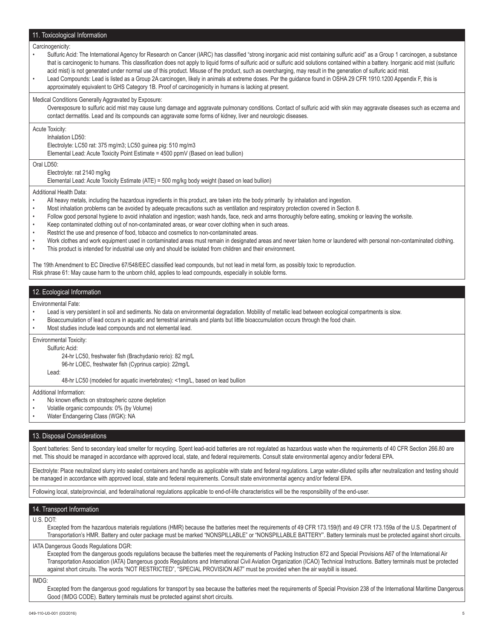## 11. Toxicological Information

#### Carcinogenicity:

- Sulfuric Acid: The International Agency for Research on Cancer (IARC) has classified "strong inorganic acid mist containing sulfuric acid" as a Group 1 carcinogen, a substance that is carcinogenic to humans. This classification does not apply to liquid forms of sulfuric acid or sulfuric acid solutions contained within a battery. Inorganic acid mist (sulfuric acid mist) is not generated under normal use of this product. Misuse of the product, such as overcharging, may result in the generation of sulfuric acid mist.
- Lead Compounds: Lead is listed as a Group 2A carcinogen, likely in animals at extreme doses. Per the guidance found in OSHA 29 CFR 1910.1200 Appendix F, this is approximately equivalent to GHS Category 1B. Proof of carcinogenicity in humans is lacking at present.

Medical Conditions Generally Aggravated by Exposure:

Overexposure to sulfuric acid mist may cause lung damage and aggravate pulmonary conditions. Contact of sulfuric acid with skin may aggravate diseases such as eczema and contact dermatitis. Lead and its compounds can aggravate some forms of kidney, liver and neurologic diseases.

Acute Toxicity:

Inhalation LD50:

Electrolyte: LC50 rat: 375 mg/m3; LC50 guinea pig: 510 mg/m3

Elemental Lead: Acute Toxicity Point Estimate = 4500 ppmV (Based on lead bullion)

Oral LD50<sup>-</sup>

Electrolyte: rat 2140 mg/kg

Elemental Lead: Acute Toxicity Estimate (ATE) = 500 mg/kg body weight (based on lead bullion)

Additional Health Data:

- All heavy metals, including the hazardous ingredients in this product, are taken into the body primarily by inhalation and ingestion.
- Most inhalation problems can be avoided by adequate precautions such as ventilation and respiratory protection covered in Section 8.
- Follow good personal hygiene to avoid inhalation and ingestion; wash hands, face, neck and arms thoroughly before eating, smoking or leaving the worksite.
- Keep contaminated clothing out of non-contaminated areas, or wear cover clothing when in such areas.
- Restrict the use and presence of food, tobacco and cosmetics to non-contaminated areas.
- Work clothes and work equipment used in contaminated areas must remain in designated areas and never taken home or laundered with personal non-contaminated clothing.
- This product is intended for industrial use only and should be isolated from children and their environment.

The 19th Amendment to EC Directive 67/548/EEC classified lead compounds, but not lead in metal form, as possibly toxic to reproduction. Risk phrase 61: May cause harm to the unborn child, applies to lead compounds, especially in soluble forms.

## 12. Ecological Information

Environmental Fate:

- Lead is very persistent in soil and sediments. No data on environmental degradation. Mobility of metallic lead between ecological compartments is slow.
- Bioaccumulation of lead occurs in aquatic and terrestrial animals and plants but little bioaccumulation occurs through the food chain.
- Most studies include lead compounds and not elemental lead.

Environmental Toxicity:

Sulfuric Acid:

24-hr LC50, freshwater fish (Brachydanio rerio): 82 mg/L

96-hr LOEC, freshwater fish (Cyprinus carpio): 22mg/L

48-hr LC50 (modeled for aquatic invertebrates): <1mg/L, based on lead bullion

Additional Information:

Lead:

- No known effects on stratospheric ozone depletion
- Volatile organic compounds: 0% (by Volume)
- Water Endangering Class (WGK): NA

## 13. Disposal Considerations

Spent batteries: Send to secondary lead smelter for recycling. Spent lead-acid batteries are not regulated as hazardous waste when the requirements of 40 CFR Section 266.80 are met. This should be managed in accordance with approved local, state, and federal requirements. Consult state environmental agency and/or federal EPA.

Electrolyte: Place neutralized slurry into sealed containers and handle as applicable with state and federal regulations. Large water-diluted spills after neutralization and testing should be managed in accordance with approved local, state and federal requirements. Consult state environmental agency and/or federal EPA.

Following local, state/provincial, and federal/national regulations applicable to end-of-life characteristics will be the responsibility of the end-user.

## 14. Transport Information

U.S. DOT:

Excepted from the hazardous materials regulations (HMR) because the batteries meet the requirements of 49 CFR 173.159(f) and 49 CFR 173.159a of the U.S. Department of Transportation's HMR. Battery and outer package must be marked "NONSPILLABLE" or "NONSPILLABLE BATTERY". Battery terminals must be protected against short circuits.

#### IATA Dangerous Goods Regulations DGR:

Excepted from the dangerous goods regulations because the batteries meet the requirements of Packing Instruction 872 and Special Provisions A67 of the International Air Transportation Association (IATA) Dangerous goods Regulations and International Civil Aviation Organization (ICAO) Technical Instructions. Battery terminals must be protected against short circuits. The words "NOT RESTRICTED", "SPECIAL PROVISION A67" must be provided when the air waybill is issued.

IMDG:

Excepted from the dangerous good regulations for transport by sea because the batteries meet the requirements of Special Provision 238 of the International Maritime Dangerous Good (IMDG CODE). Battery terminals must be protected against short circuits.